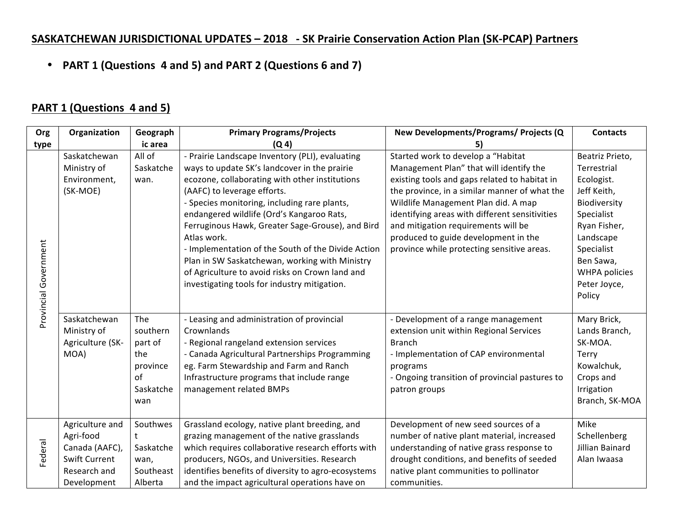## **SASKATCHEWAN JURISDICTIONAL UPDATES - 2018 - SK Prairie Conservation Action Plan (SK-PCAP) Partners**

• **PART 1 (Questions 4 and 5) and PART 2 (Questions 6 and 7)**

## **PART 1 (Questions 4 and 5)**

| Org                   | Organization         | Geograph  | <b>Primary Programs/Projects</b>                    | New Developments/Programs/ Projects (Q         | <b>Contacts</b> |
|-----------------------|----------------------|-----------|-----------------------------------------------------|------------------------------------------------|-----------------|
| type                  |                      | ic area   | (Q <sub>4</sub> )                                   | 5)                                             |                 |
|                       | Saskatchewan         | All of    | - Prairie Landscape Inventory (PLI), evaluating     | Started work to develop a "Habitat             | Beatriz Prieto, |
|                       | Ministry of          | Saskatche | ways to update SK's landcover in the prairie        | Management Plan" that will identify the        | Terrestrial     |
|                       | Environment,         | wan.      | ecozone, collaborating with other institutions      | existing tools and gaps related to habitat in  | Ecologist.      |
|                       | (SK-MOE)             |           | (AAFC) to leverage efforts.                         | the province, in a similar manner of what the  | Jeff Keith,     |
|                       |                      |           | - Species monitoring, including rare plants,        | Wildlife Management Plan did. A map            | Biodiversity    |
|                       |                      |           | endangered wildlife (Ord's Kangaroo Rats,           | identifying areas with different sensitivities | Specialist      |
|                       |                      |           | Ferruginous Hawk, Greater Sage-Grouse), and Bird    | and mitigation requirements will be            | Ryan Fisher,    |
|                       |                      |           | Atlas work.                                         | produced to guide development in the           | Landscape       |
|                       |                      |           | - Implementation of the South of the Divide Action  | province while protecting sensitive areas.     | Specialist      |
|                       |                      |           | Plan in SW Saskatchewan, working with Ministry      |                                                | Ben Sawa,       |
|                       |                      |           | of Agriculture to avoid risks on Crown land and     |                                                | WHPA policies   |
| Provincial Government |                      |           | investigating tools for industry mitigation.        |                                                | Peter Joyce,    |
|                       |                      |           |                                                     |                                                | Policy          |
|                       |                      |           |                                                     |                                                |                 |
|                       | Saskatchewan         | The       | - Leasing and administration of provincial          | - Development of a range management            | Mary Brick,     |
|                       | Ministry of          | southern  | Crownlands                                          | extension unit within Regional Services        | Lands Branch,   |
|                       | Agriculture (SK-     | part of   | - Regional rangeland extension services             | <b>Branch</b>                                  | SK-MOA.         |
|                       | MOA)                 | the       | - Canada Agricultural Partnerships Programming      | - Implementation of CAP environmental          | Terry           |
|                       |                      | province  | eg. Farm Stewardship and Farm and Ranch             | programs                                       | Kowalchuk,      |
|                       |                      | of        | Infrastructure programs that include range          | - Ongoing transition of provincial pastures to | Crops and       |
|                       |                      | Saskatche | management related BMPs                             | patron groups                                  | Irrigation      |
|                       |                      | wan       |                                                     |                                                | Branch, SK-MOA  |
|                       | Agriculture and      | Southwes  | Grassland ecology, native plant breeding, and       | Development of new seed sources of a           | Mike            |
|                       | Agri-food            |           | grazing management of the native grasslands         | number of native plant material, increased     | Schellenberg    |
| Federal               | Canada (AAFC),       | Saskatche | which requires collaborative research efforts with  | understanding of native grass response to      | Jillian Bainard |
|                       | <b>Swift Current</b> | wan,      | producers, NGOs, and Universities. Research         | drought conditions, and benefits of seeded     | Alan Iwaasa     |
|                       | Research and         | Southeast | identifies benefits of diversity to agro-ecosystems | native plant communities to pollinator         |                 |
|                       | Development          | Alberta   | and the impact agricultural operations have on      | communities.                                   |                 |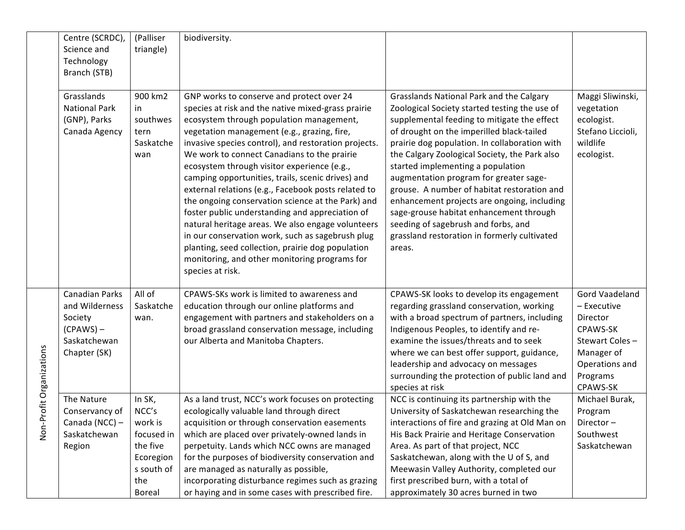|                          | Centre (SCRDC),<br>Science and<br>Technology                                               | (Palliser<br>triangle)                                                                                  | biodiversity.                                                                                                                                                                                                                                                                                                                                                                                                                                                                                                                                                                                                                                                                                                                                                                                           |                                                                                                                                                                                                                                                                                                                                                                                                                                                                                                                                                                                                                  |                                                                                                                                 |
|--------------------------|--------------------------------------------------------------------------------------------|---------------------------------------------------------------------------------------------------------|---------------------------------------------------------------------------------------------------------------------------------------------------------------------------------------------------------------------------------------------------------------------------------------------------------------------------------------------------------------------------------------------------------------------------------------------------------------------------------------------------------------------------------------------------------------------------------------------------------------------------------------------------------------------------------------------------------------------------------------------------------------------------------------------------------|------------------------------------------------------------------------------------------------------------------------------------------------------------------------------------------------------------------------------------------------------------------------------------------------------------------------------------------------------------------------------------------------------------------------------------------------------------------------------------------------------------------------------------------------------------------------------------------------------------------|---------------------------------------------------------------------------------------------------------------------------------|
|                          | Branch (STB)                                                                               |                                                                                                         |                                                                                                                                                                                                                                                                                                                                                                                                                                                                                                                                                                                                                                                                                                                                                                                                         |                                                                                                                                                                                                                                                                                                                                                                                                                                                                                                                                                                                                                  |                                                                                                                                 |
|                          | Grasslands<br><b>National Park</b><br>(GNP), Parks<br>Canada Agency                        | 900 km2<br>in<br>southwes<br>tern<br>Saskatche<br>wan                                                   | GNP works to conserve and protect over 24<br>species at risk and the native mixed-grass prairie<br>ecosystem through population management,<br>vegetation management (e.g., grazing, fire,<br>invasive species control), and restoration projects.<br>We work to connect Canadians to the prairie<br>ecosystem through visitor experience (e.g.,<br>camping opportunities, trails, scenic drives) and<br>external relations (e.g., Facebook posts related to<br>the ongoing conservation science at the Park) and<br>foster public understanding and appreciation of<br>natural heritage areas. We also engage volunteers<br>in our conservation work, such as sagebrush plug<br>planting, seed collection, prairie dog population<br>monitoring, and other monitoring programs for<br>species at risk. | Grasslands National Park and the Calgary<br>Zoological Society started testing the use of<br>supplemental feeding to mitigate the effect<br>of drought on the imperilled black-tailed<br>prairie dog population. In collaboration with<br>the Calgary Zoological Society, the Park also<br>started implementing a population<br>augmentation program for greater sage-<br>grouse. A number of habitat restoration and<br>enhancement projects are ongoing, including<br>sage-grouse habitat enhancement through<br>seeding of sagebrush and forbs, and<br>grassland restoration in formerly cultivated<br>areas. | Maggi Sliwinski,<br>vegetation<br>ecologist.<br>Stefano Liccioli,<br>wildlife<br>ecologist.                                     |
| Non-Profit Organizations | Canadian Parks<br>and Wilderness<br>Society<br>$(CPAWS)$ –<br>Saskatchewan<br>Chapter (SK) | All of<br>Saskatche<br>wan.                                                                             | CPAWS-SKs work is limited to awareness and<br>education through our online platforms and<br>engagement with partners and stakeholders on a<br>broad grassland conservation message, including<br>our Alberta and Manitoba Chapters.                                                                                                                                                                                                                                                                                                                                                                                                                                                                                                                                                                     | CPAWS-SK looks to develop its engagement<br>regarding grassland conservation, working<br>with a broad spectrum of partners, including<br>Indigenous Peoples, to identify and re-<br>examine the issues/threats and to seek<br>where we can best offer support, guidance,<br>leadership and advocacy on messages<br>surrounding the protection of public land and<br>species at risk                                                                                                                                                                                                                              | Gord Vaadeland<br>- Executive<br>Director<br>CPAWS-SK<br>Stewart Coles-<br>Manager of<br>Operations and<br>Programs<br>CPAWS-SK |
|                          | The Nature<br>Conservancy of<br>Canada (NCC) -<br>Saskatchewan<br>Region                   | In SK,<br>NCC's<br>work is<br>focused in<br>the five<br>Ecoregion<br>s south of<br>the<br><b>Boreal</b> | As a land trust, NCC's work focuses on protecting<br>ecologically valuable land through direct<br>acquisition or through conservation easements<br>which are placed over privately-owned lands in<br>perpetuity. Lands which NCC owns are managed<br>for the purposes of biodiversity conservation and<br>are managed as naturally as possible,<br>incorporating disturbance regimes such as grazing<br>or haying and in some cases with prescribed fire.                                                                                                                                                                                                                                                                                                                                               | NCC is continuing its partnership with the<br>University of Saskatchewan researching the<br>interactions of fire and grazing at Old Man on<br>His Back Prairie and Heritage Conservation<br>Area. As part of that project, NCC<br>Saskatchewan, along with the U of S, and<br>Meewasin Valley Authority, completed our<br>first prescribed burn, with a total of<br>approximately 30 acres burned in two                                                                                                                                                                                                         | Michael Burak,<br>Program<br>Director-<br>Southwest<br>Saskatchewan                                                             |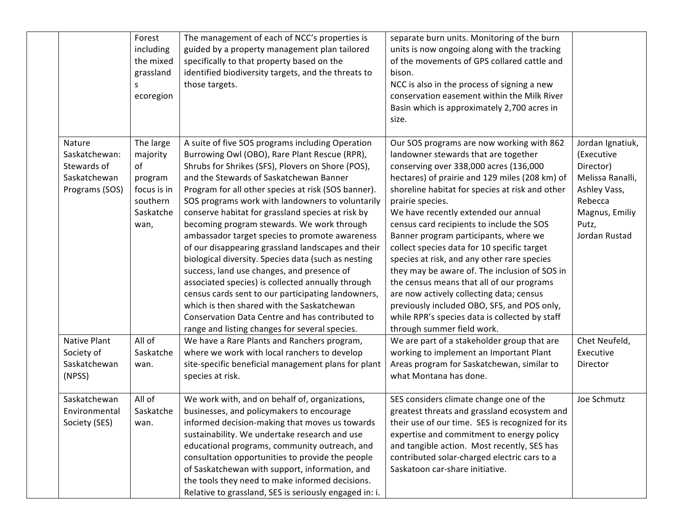|                                                                          | Forest<br>including<br>the mixed<br>grassland<br>S<br>ecoregion                        | The management of each of NCC's properties is<br>guided by a property management plan tailored<br>specifically to that property based on the<br>identified biodiversity targets, and the threats to<br>those targets.                                                                                                                                                                                                                                                                                                                                                                                                                                                                                                                                                                                                                                                                      | separate burn units. Monitoring of the burn<br>units is now ongoing along with the tracking<br>of the movements of GPS collared cattle and<br>bison.<br>NCC is also in the process of signing a new<br>conservation easement within the Milk River<br>Basin which is approximately 2,700 acres in<br>size.                                                                                                                                                                                                                                                                                                                                                                                                                                                |                                                                                                                                        |
|--------------------------------------------------------------------------|----------------------------------------------------------------------------------------|--------------------------------------------------------------------------------------------------------------------------------------------------------------------------------------------------------------------------------------------------------------------------------------------------------------------------------------------------------------------------------------------------------------------------------------------------------------------------------------------------------------------------------------------------------------------------------------------------------------------------------------------------------------------------------------------------------------------------------------------------------------------------------------------------------------------------------------------------------------------------------------------|-----------------------------------------------------------------------------------------------------------------------------------------------------------------------------------------------------------------------------------------------------------------------------------------------------------------------------------------------------------------------------------------------------------------------------------------------------------------------------------------------------------------------------------------------------------------------------------------------------------------------------------------------------------------------------------------------------------------------------------------------------------|----------------------------------------------------------------------------------------------------------------------------------------|
| Nature<br>Saskatchewan:<br>Stewards of<br>Saskatchewan<br>Programs (SOS) | The large<br>majority<br>of<br>program<br>focus is in<br>southern<br>Saskatche<br>wan, | A suite of five SOS programs including Operation<br>Burrowing Owl (OBO), Rare Plant Rescue (RPR),<br>Shrubs for Shrikes (SFS), Plovers on Shore (POS),<br>and the Stewards of Saskatchewan Banner<br>Program for all other species at risk (SOS banner).<br>SOS programs work with landowners to voluntarily<br>conserve habitat for grassland species at risk by<br>becoming program stewards. We work through<br>ambassador target species to promote awareness<br>of our disappearing grassland landscapes and their<br>biological diversity. Species data (such as nesting<br>success, land use changes, and presence of<br>associated species) is collected annually through<br>census cards sent to our participating landowners,<br>which is then shared with the Saskatchewan<br>Conservation Data Centre and has contributed to<br>range and listing changes for several species. | Our SOS programs are now working with 862<br>landowner stewards that are together<br>conserving over 338,000 acres (136,000<br>hectares) of prairie and 129 miles (208 km) of<br>shoreline habitat for species at risk and other<br>prairie species.<br>We have recently extended our annual<br>census card recipients to include the SOS<br>Banner program participants, where we<br>collect species data for 10 specific target<br>species at risk, and any other rare species<br>they may be aware of. The inclusion of SOS in<br>the census means that all of our programs<br>are now actively collecting data; census<br>previously included OBO, SFS, and POS only,<br>while RPR's species data is collected by staff<br>through summer field work. | Jordan Ignatiuk,<br>(Executive<br>Director)<br>Melissa Ranalli,<br>Ashley Vass,<br>Rebecca<br>Magnus, Emiliy<br>Putz,<br>Jordan Rustad |
| Native Plant<br>Society of<br>Saskatchewan<br>(NPSS)                     | All of<br>Saskatche<br>wan.                                                            | We have a Rare Plants and Ranchers program,<br>where we work with local ranchers to develop<br>site-specific beneficial management plans for plant<br>species at risk.                                                                                                                                                                                                                                                                                                                                                                                                                                                                                                                                                                                                                                                                                                                     | We are part of a stakeholder group that are<br>working to implement an Important Plant<br>Areas program for Saskatchewan, similar to<br>what Montana has done.                                                                                                                                                                                                                                                                                                                                                                                                                                                                                                                                                                                            | Chet Neufeld,<br>Executive<br>Director                                                                                                 |
| Saskatchewan<br>Environmental<br>Society (SES)                           | All of<br>Saskatche<br>wan.                                                            | We work with, and on behalf of, organizations,<br>businesses, and policymakers to encourage<br>informed decision-making that moves us towards<br>sustainability. We undertake research and use<br>educational programs, community outreach, and<br>consultation opportunities to provide the people<br>of Saskatchewan with support, information, and<br>the tools they need to make informed decisions.<br>Relative to grassland, SES is seriously engaged in: i.                                                                                                                                                                                                                                                                                                                                                                                                                         | SES considers climate change one of the<br>greatest threats and grassland ecosystem and<br>their use of our time. SES is recognized for its<br>expertise and commitment to energy policy<br>and tangible action. Most recently, SES has<br>contributed solar-charged electric cars to a<br>Saskatoon car-share initiative.                                                                                                                                                                                                                                                                                                                                                                                                                                | Joe Schmutz                                                                                                                            |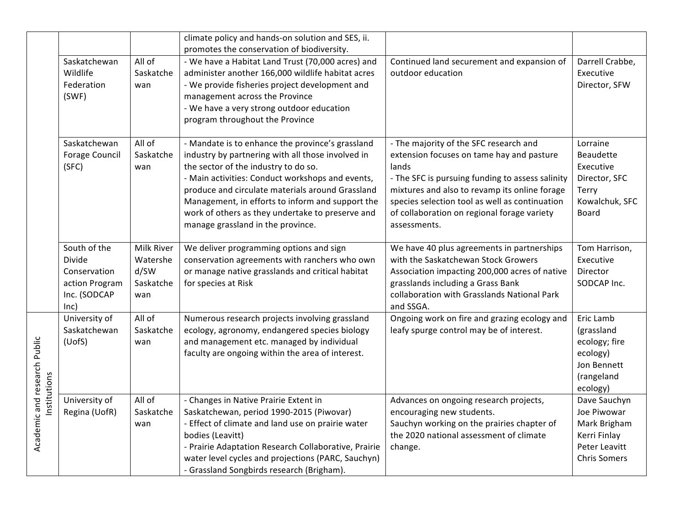|                              |                                                                                         |                                                    | climate policy and hands-on solution and SES, ii.<br>promotes the conservation of biodiversity.                                                                                                                                                                                                                                                                                                    |                                                                                                                                                                                                                                                                                                                    |                                                                                                     |
|------------------------------|-----------------------------------------------------------------------------------------|----------------------------------------------------|----------------------------------------------------------------------------------------------------------------------------------------------------------------------------------------------------------------------------------------------------------------------------------------------------------------------------------------------------------------------------------------------------|--------------------------------------------------------------------------------------------------------------------------------------------------------------------------------------------------------------------------------------------------------------------------------------------------------------------|-----------------------------------------------------------------------------------------------------|
|                              | Saskatchewan<br>Wildlife<br>Federation<br>(SWF)                                         | All of<br>Saskatche<br>wan                         | - We have a Habitat Land Trust (70,000 acres) and<br>administer another 166,000 wildlife habitat acres<br>- We provide fisheries project development and<br>management across the Province<br>- We have a very strong outdoor education<br>program throughout the Province                                                                                                                         | Continued land securement and expansion of<br>outdoor education                                                                                                                                                                                                                                                    | Darrell Crabbe,<br>Executive<br>Director, SFW                                                       |
|                              | Saskatchewan<br><b>Forage Council</b><br>(SFC)                                          | All of<br>Saskatche<br>wan                         | - Mandate is to enhance the province's grassland<br>industry by partnering with all those involved in<br>the sector of the industry to do so.<br>- Main activities: Conduct workshops and events,<br>produce and circulate materials around Grassland<br>Management, in efforts to inform and support the<br>work of others as they undertake to preserve and<br>manage grassland in the province. | - The majority of the SFC research and<br>extension focuses on tame hay and pasture<br>lands<br>- The SFC is pursuing funding to assess salinity<br>mixtures and also to revamp its online forage<br>species selection tool as well as continuation<br>of collaboration on regional forage variety<br>assessments. | Lorraine<br>Beaudette<br>Executive<br>Director, SFC<br>Terry<br>Kowalchuk, SFC<br>Board             |
|                              | South of the<br><b>Divide</b><br>Conservation<br>action Program<br>Inc. (SODCAP<br>lnc) | Milk River<br>Watershe<br>d/SW<br>Saskatche<br>wan | We deliver programming options and sign<br>conservation agreements with ranchers who own<br>or manage native grasslands and critical habitat<br>for species at Risk                                                                                                                                                                                                                                | We have 40 plus agreements in partnerships<br>with the Saskatchewan Stock Growers<br>Association impacting 200,000 acres of native<br>grasslands including a Grass Bank<br>collaboration with Grasslands National Park<br>and SSGA.                                                                                | Tom Harrison,<br>Executive<br>Director<br>SODCAP Inc.                                               |
| Institutions                 | University of<br>Saskatchewan<br>(UofS)                                                 | All of<br>Saskatche<br>wan                         | Numerous research projects involving grassland<br>ecology, agronomy, endangered species biology<br>and management etc. managed by individual<br>faculty are ongoing within the area of interest.                                                                                                                                                                                                   | Ongoing work on fire and grazing ecology and<br>leafy spurge control may be of interest.                                                                                                                                                                                                                           | Eric Lamb<br>(grassland<br>ecology; fire<br>ecology)<br>Jon Bennett<br>(rangeland<br>ecology)       |
| Academic and research Public | University of<br>Regina (UofR)                                                          | All of<br>Saskatche<br>wan                         | - Changes in Native Prairie Extent in<br>Saskatchewan, period 1990-2015 (Piwovar)<br>- Effect of climate and land use on prairie water<br>bodies (Leavitt)<br>- Prairie Adaptation Research Collaborative, Prairie<br>water level cycles and projections (PARC, Sauchyn)<br>- Grassland Songbirds research (Brigham).                                                                              | Advances on ongoing research projects,<br>encouraging new students.<br>Sauchyn working on the prairies chapter of<br>the 2020 national assessment of climate<br>change.                                                                                                                                            | Dave Sauchyn<br>Joe Piwowar<br>Mark Brigham<br>Kerri Finlay<br>Peter Leavitt<br><b>Chris Somers</b> |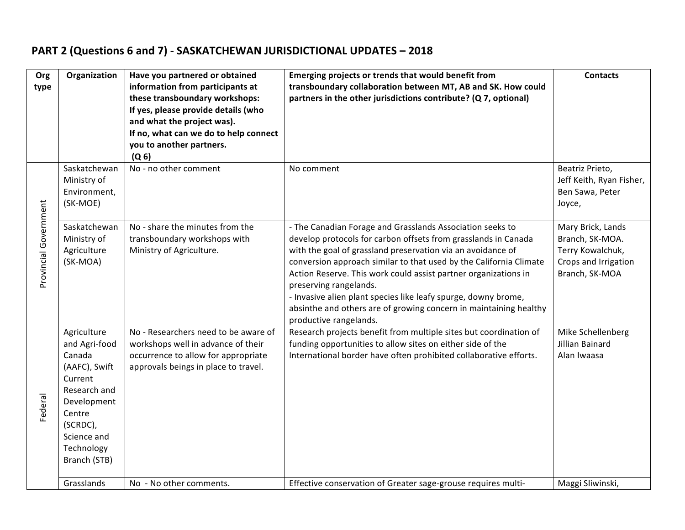## **PART 2 (Questions 6 and 7) - SASKATCHEWAN JURISDICTIONAL UPDATES - 2018**

| Org                   | Organization            | Have you partnered or obtained        | Emerging projects or trends that would benefit from                                                                             | <b>Contacts</b>                      |
|-----------------------|-------------------------|---------------------------------------|---------------------------------------------------------------------------------------------------------------------------------|--------------------------------------|
| type                  |                         | information from participants at      | transboundary collaboration between MT, AB and SK. How could                                                                    |                                      |
|                       |                         | these transboundary workshops:        | partners in the other jurisdictions contribute? (Q 7, optional)                                                                 |                                      |
|                       |                         | If yes, please provide details (who   |                                                                                                                                 |                                      |
|                       |                         | and what the project was).            |                                                                                                                                 |                                      |
|                       |                         | If no, what can we do to help connect |                                                                                                                                 |                                      |
|                       |                         | you to another partners.              |                                                                                                                                 |                                      |
|                       |                         | (Q <sub>6</sub> )                     |                                                                                                                                 |                                      |
|                       | Saskatchewan            | No - no other comment                 | No comment                                                                                                                      | Beatriz Prieto,                      |
|                       | Ministry of             |                                       |                                                                                                                                 | Jeff Keith, Ryan Fisher,             |
|                       | Environment,            |                                       |                                                                                                                                 | Ben Sawa, Peter                      |
|                       | (SK-MOE)                |                                       |                                                                                                                                 | Joyce,                               |
|                       |                         |                                       |                                                                                                                                 |                                      |
| Provincial Government | Saskatchewan            | No - share the minutes from the       | - The Canadian Forage and Grasslands Association seeks to                                                                       | Mary Brick, Lands                    |
|                       | Ministry of             | transboundary workshops with          | develop protocols for carbon offsets from grasslands in Canada                                                                  | Branch, SK-MOA.                      |
|                       | Agriculture             | Ministry of Agriculture.              | with the goal of grassland preservation via an avoidance of                                                                     | Terry Kowalchuk,                     |
|                       | (SK-MOA)                |                                       | conversion approach similar to that used by the California Climate                                                              | Crops and Irrigation                 |
|                       |                         |                                       | Action Reserve. This work could assist partner organizations in                                                                 | Branch, SK-MOA                       |
|                       |                         |                                       | preserving rangelands.                                                                                                          |                                      |
|                       |                         |                                       | - Invasive alien plant species like leafy spurge, downy brome,                                                                  |                                      |
|                       |                         |                                       | absinthe and others are of growing concern in maintaining healthy                                                               |                                      |
|                       |                         | No - Researchers need to be aware of  | productive rangelands.                                                                                                          |                                      |
|                       | Agriculture             | workshops well in advance of their    | Research projects benefit from multiple sites but coordination of<br>funding opportunities to allow sites on either side of the | Mike Schellenberg<br>Jillian Bainard |
|                       | and Agri-food<br>Canada | occurrence to allow for appropriate   | International border have often prohibited collaborative efforts.                                                               | Alan Iwaasa                          |
|                       | (AAFC), Swift           | approvals beings in place to travel.  |                                                                                                                                 |                                      |
|                       | Current                 |                                       |                                                                                                                                 |                                      |
|                       | Research and            |                                       |                                                                                                                                 |                                      |
|                       | Development             |                                       |                                                                                                                                 |                                      |
| Federal               | Centre                  |                                       |                                                                                                                                 |                                      |
|                       | (SCRDC),                |                                       |                                                                                                                                 |                                      |
|                       | Science and             |                                       |                                                                                                                                 |                                      |
|                       | Technology              |                                       |                                                                                                                                 |                                      |
|                       | Branch (STB)            |                                       |                                                                                                                                 |                                      |
|                       |                         |                                       |                                                                                                                                 |                                      |
|                       | Grasslands              | No - No other comments.               | Effective conservation of Greater sage-grouse requires multi-                                                                   | Maggi Sliwinski,                     |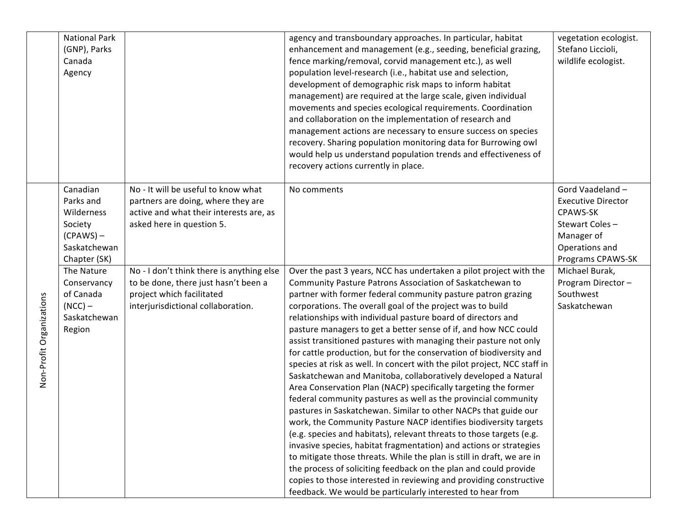|                          | <b>National Park</b><br>(GNP), Parks<br>Canada<br>Agency                                                                                                                       |                                                                                                                                                                                                                                                                                                           | agency and transboundary approaches. In particular, habitat<br>enhancement and management (e.g., seeding, beneficial grazing,<br>fence marking/removal, corvid management etc.), as well<br>population level-research (i.e., habitat use and selection,<br>development of demographic risk maps to inform habitat<br>management) are required at the large scale, given individual<br>movements and species ecological requirements. Coordination<br>and collaboration on the implementation of research and<br>management actions are necessary to ensure success on species<br>recovery. Sharing population monitoring data for Burrowing owl<br>would help us understand population trends and effectiveness of<br>recovery actions currently in place.                                                                                                                                                                                                                                                                                                                                                                                                                                                                                                                                                                                                                                                           | vegetation ecologist.<br>Stefano Liccioli,<br>wildlife ecologist.                                                                                                                                    |
|--------------------------|--------------------------------------------------------------------------------------------------------------------------------------------------------------------------------|-----------------------------------------------------------------------------------------------------------------------------------------------------------------------------------------------------------------------------------------------------------------------------------------------------------|----------------------------------------------------------------------------------------------------------------------------------------------------------------------------------------------------------------------------------------------------------------------------------------------------------------------------------------------------------------------------------------------------------------------------------------------------------------------------------------------------------------------------------------------------------------------------------------------------------------------------------------------------------------------------------------------------------------------------------------------------------------------------------------------------------------------------------------------------------------------------------------------------------------------------------------------------------------------------------------------------------------------------------------------------------------------------------------------------------------------------------------------------------------------------------------------------------------------------------------------------------------------------------------------------------------------------------------------------------------------------------------------------------------------|------------------------------------------------------------------------------------------------------------------------------------------------------------------------------------------------------|
| Non-Profit Organizations | Canadian<br>Parks and<br>Wilderness<br>Society<br>$(CPAWS)$ –<br>Saskatchewan<br>Chapter (SK)<br>The Nature<br>Conservancy<br>of Canada<br>$(NCC)$ –<br>Saskatchewan<br>Region | No - It will be useful to know what<br>partners are doing, where they are<br>active and what their interests are, as<br>asked here in question 5.<br>No - I don't think there is anything else<br>to be done, there just hasn't been a<br>project which facilitated<br>interjurisdictional collaboration. | No comments<br>Over the past 3 years, NCC has undertaken a pilot project with the<br>Community Pasture Patrons Association of Saskatchewan to<br>partner with former federal community pasture patron grazing<br>corporations. The overall goal of the project was to build<br>relationships with individual pasture board of directors and<br>pasture managers to get a better sense of if, and how NCC could<br>assist transitioned pastures with managing their pasture not only<br>for cattle production, but for the conservation of biodiversity and<br>species at risk as well. In concert with the pilot project, NCC staff in<br>Saskatchewan and Manitoba, collaboratively developed a Natural<br>Area Conservation Plan (NACP) specifically targeting the former<br>federal community pastures as well as the provincial community<br>pastures in Saskatchewan. Similar to other NACPs that guide our<br>work, the Community Pasture NACP identifies biodiversity targets<br>(e.g. species and habitats), relevant threats to those targets (e.g.<br>invasive species, habitat fragmentation) and actions or strategies<br>to mitigate those threats. While the plan is still in draft, we are in<br>the process of soliciting feedback on the plan and could provide<br>copies to those interested in reviewing and providing constructive<br>feedback. We would be particularly interested to hear from | Gord Vaadeland -<br><b>Executive Director</b><br>CPAWS-SK<br>Stewart Coles-<br>Manager of<br>Operations and<br>Programs CPAWS-SK<br>Michael Burak,<br>Program Director-<br>Southwest<br>Saskatchewan |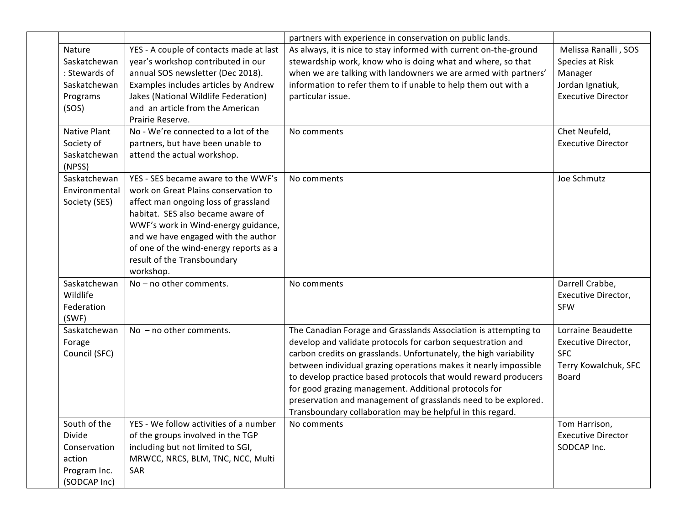|                                                                                                            |                                                                                                                                                                                                                                                                                                                                         | partners with experience in conservation on public lands.                                                                                                                                                                                                                                                                                                                                                                                                                                                                           |                                                                                                                                                   |
|------------------------------------------------------------------------------------------------------------|-----------------------------------------------------------------------------------------------------------------------------------------------------------------------------------------------------------------------------------------------------------------------------------------------------------------------------------------|-------------------------------------------------------------------------------------------------------------------------------------------------------------------------------------------------------------------------------------------------------------------------------------------------------------------------------------------------------------------------------------------------------------------------------------------------------------------------------------------------------------------------------------|---------------------------------------------------------------------------------------------------------------------------------------------------|
| Nature<br>Saskatchewan<br>: Stewards of<br>Saskatchewan<br>Programs<br>(SOS)<br>Native Plant<br>Society of | YES - A couple of contacts made at last<br>year's workshop contributed in our<br>annual SOS newsletter (Dec 2018).<br>Examples includes articles by Andrew<br>Jakes (National Wildlife Federation)<br>and an article from the American<br>Prairie Reserve.<br>No - We're connected to a lot of the<br>partners, but have been unable to | As always, it is nice to stay informed with current on-the-ground<br>stewardship work, know who is doing what and where, so that<br>when we are talking with landowners we are armed with partners'<br>information to refer them to if unable to help them out with a<br>particular issue.<br>No comments                                                                                                                                                                                                                           | Melissa Ranalli, SOS<br>Species at Risk<br>Manager<br>Jordan Ignatiuk,<br><b>Executive Director</b><br>Chet Neufeld,<br><b>Executive Director</b> |
| Saskatchewan<br>(NPSS)                                                                                     | attend the actual workshop.                                                                                                                                                                                                                                                                                                             |                                                                                                                                                                                                                                                                                                                                                                                                                                                                                                                                     |                                                                                                                                                   |
| Saskatchewan<br>Environmental<br>Society (SES)                                                             | YES - SES became aware to the WWF's<br>work on Great Plains conservation to<br>affect man ongoing loss of grassland<br>habitat. SES also became aware of<br>WWF's work in Wind-energy guidance,<br>and we have engaged with the author<br>of one of the wind-energy reports as a<br>result of the Transboundary<br>workshop.            | No comments                                                                                                                                                                                                                                                                                                                                                                                                                                                                                                                         | Joe Schmutz                                                                                                                                       |
| Saskatchewan<br>Wildlife<br>Federation<br>(SWF)                                                            | $No - no other comments.$                                                                                                                                                                                                                                                                                                               | No comments                                                                                                                                                                                                                                                                                                                                                                                                                                                                                                                         | Darrell Crabbe,<br>Executive Director,<br><b>SFW</b>                                                                                              |
| Saskatchewan<br>Forage<br>Council (SFC)                                                                    | No $-$ no other comments.                                                                                                                                                                                                                                                                                                               | The Canadian Forage and Grasslands Association is attempting to<br>develop and validate protocols for carbon sequestration and<br>carbon credits on grasslands. Unfortunately, the high variability<br>between individual grazing operations makes it nearly impossible<br>to develop practice based protocols that would reward producers<br>for good grazing management. Additional protocols for<br>preservation and management of grasslands need to be explored.<br>Transboundary collaboration may be helpful in this regard. | Lorraine Beaudette<br>Executive Director,<br><b>SFC</b><br>Terry Kowalchuk, SFC<br>Board                                                          |
| South of the<br>Divide<br>Conservation<br>action<br>Program Inc.<br>(SODCAP Inc)                           | YES - We follow activities of a number<br>of the groups involved in the TGP<br>including but not limited to SGI,<br>MRWCC, NRCS, BLM, TNC, NCC, Multi<br>SAR                                                                                                                                                                            | No comments                                                                                                                                                                                                                                                                                                                                                                                                                                                                                                                         | Tom Harrison,<br><b>Executive Director</b><br>SODCAP Inc.                                                                                         |